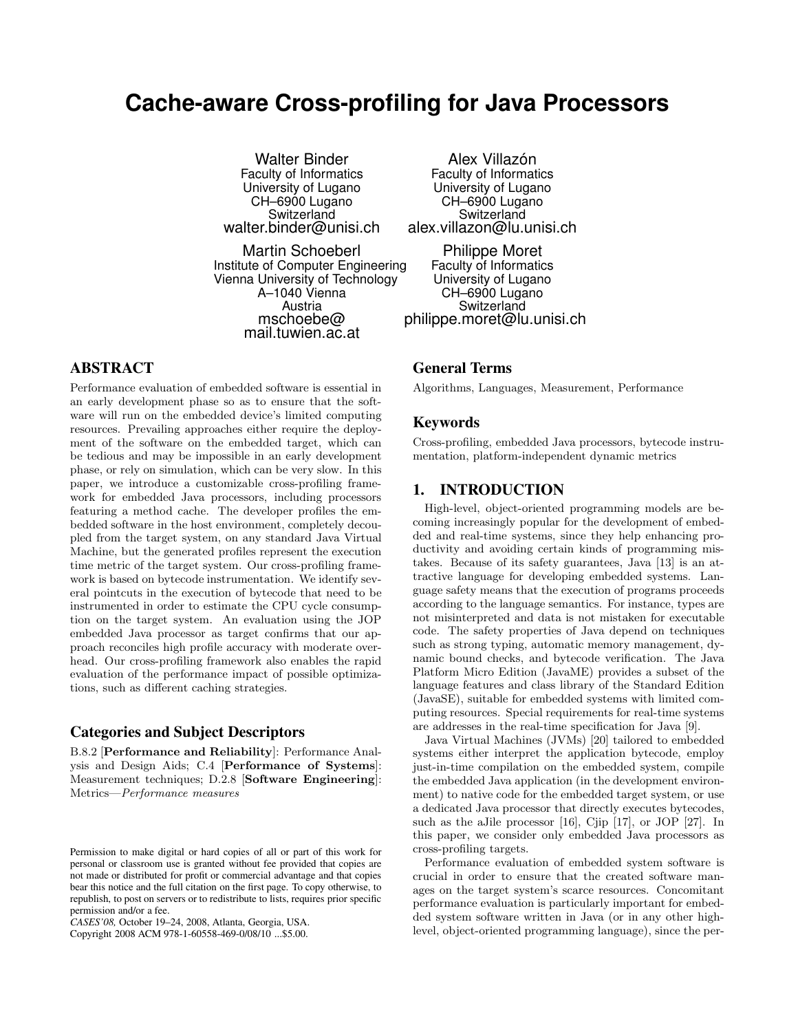# **Cache-aware Cross-profiling for Java Processors**

Walter Binder Faculty of Informatics University of Lugano CH–6900 Lugano Switzerland walter.binder@unisi.ch

Martin Schoeberl Institute of Computer Engineering Vienna University of Technology A–1040 Vienna Austria mschoebe@ mail.tuwien.ac.at

# ABSTRACT

Performance evaluation of embedded software is essential in an early development phase so as to ensure that the software will run on the embedded device's limited computing resources. Prevailing approaches either require the deployment of the software on the embedded target, which can be tedious and may be impossible in an early development phase, or rely on simulation, which can be very slow. In this paper, we introduce a customizable cross-profiling framework for embedded Java processors, including processors featuring a method cache. The developer profiles the embedded software in the host environment, completely decoupled from the target system, on any standard Java Virtual Machine, but the generated profiles represent the execution time metric of the target system. Our cross-profiling framework is based on bytecode instrumentation. We identify several pointcuts in the execution of bytecode that need to be instrumented in order to estimate the CPU cycle consumption on the target system. An evaluation using the JOP embedded Java processor as target confirms that our approach reconciles high profile accuracy with moderate overhead. Our cross-profiling framework also enables the rapid evaluation of the performance impact of possible optimizations, such as different caching strategies.

# Categories and Subject Descriptors

B.8.2 [**Performance and Reliability**]: Performance Analysis and Design Aids; C.4 [**Performance of Systems**]: Measurement techniques; D.2.8 [**Software Engineering**]: Metrics—*Performance measures*

Copyright 2008 ACM 978-1-60558-469-0/08/10 ...\$5.00.

Alex Villazón Faculty of Informatics University of Lugano CH–6900 Lugano Switzerland alex.villazon@lu.unisi.ch

Philippe Moret Faculty of Informatics University of Lugano CH–6900 Lugano Switzerland philippe.moret@lu.unisi.ch

# General Terms

Algorithms, Languages, Measurement, Performance

# Keywords

Cross-profiling, embedded Java processors, bytecode instrumentation, platform-independent dynamic metrics

# 1. INTRODUCTION

High-level, object-oriented programming models are becoming increasingly popular for the development of embedded and real-time systems, since they help enhancing productivity and avoiding certain kinds of programming mistakes. Because of its safety guarantees, Java [13] is an attractive language for developing embedded systems. Language safety means that the execution of programs proceeds according to the language semantics. For instance, types are not misinterpreted and data is not mistaken for executable code. The safety properties of Java depend on techniques such as strong typing, automatic memory management, dynamic bound checks, and bytecode verification. The Java Platform Micro Edition (JavaME) provides a subset of the language features and class library of the Standard Edition (JavaSE), suitable for embedded systems with limited computing resources. Special requirements for real-time systems are addresses in the real-time specification for Java [9].

Java Virtual Machines (JVMs) [20] tailored to embedded systems either interpret the application bytecode, employ just-in-time compilation on the embedded system, compile the embedded Java application (in the development environment) to native code for the embedded target system, or use a dedicated Java processor that directly executes bytecodes, such as the aJile processor [16], Cjip [17], or JOP [27]. In this paper, we consider only embedded Java processors as cross-profiling targets.

Performance evaluation of embedded system software is crucial in order to ensure that the created software manages on the target system's scarce resources. Concomitant performance evaluation is particularly important for embedded system software written in Java (or in any other highlevel, object-oriented programming language), since the per-

Permission to make digital or hard copies of all or part of this work for personal or classroom use is granted without fee provided that copies are not made or distributed for profit or commercial advantage and that copies bear this notice and the full citation on the first page. To copy otherwise, to republish, to post on servers or to redistribute to lists, requires prior specific permission and/or a fee.

*CASES'08,* October 19–24, 2008, Atlanta, Georgia, USA.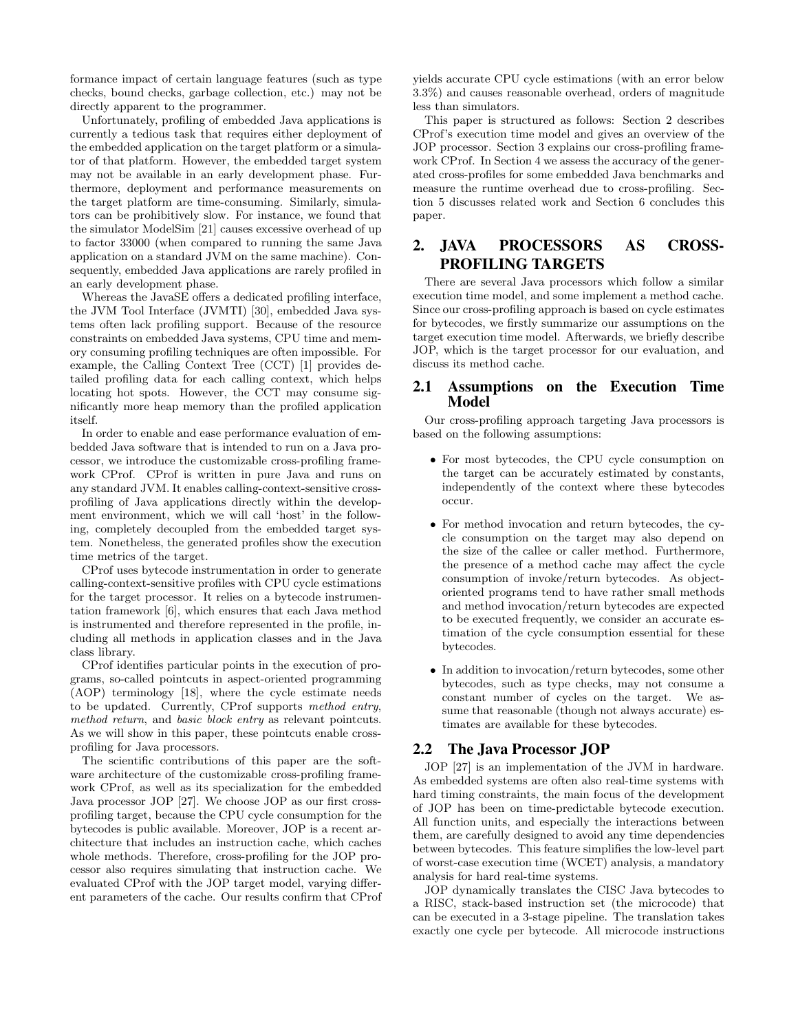formance impact of certain language features (such as type checks, bound checks, garbage collection, etc.) may not be directly apparent to the programmer.

Unfortunately, profiling of embedded Java applications is currently a tedious task that requires either deployment of the embedded application on the target platform or a simulator of that platform. However, the embedded target system may not be available in an early development phase. Furthermore, deployment and performance measurements on the target platform are time-consuming. Similarly, simulators can be prohibitively slow. For instance, we found that the simulator ModelSim [21] causes excessive overhead of up to factor 33000 (when compared to running the same Java application on a standard JVM on the same machine). Consequently, embedded Java applications are rarely profiled in an early development phase.

Whereas the JavaSE offers a dedicated profiling interface, the JVM Tool Interface (JVMTI) [30], embedded Java systems often lack profiling support. Because of the resource constraints on embedded Java systems, CPU time and memory consuming profiling techniques are often impossible. For example, the Calling Context Tree (CCT) [1] provides detailed profiling data for each calling context, which helps locating hot spots. However, the CCT may consume significantly more heap memory than the profiled application itself.

In order to enable and ease performance evaluation of embedded Java software that is intended to run on a Java processor, we introduce the customizable cross-profiling framework CProf. CProf is written in pure Java and runs on any standard JVM. It enables calling-context-sensitive crossprofiling of Java applications directly within the development environment, which we will call 'host' in the following, completely decoupled from the embedded target system. Nonetheless, the generated profiles show the execution time metrics of the target.

CProf uses bytecode instrumentation in order to generate calling-context-sensitive profiles with CPU cycle estimations for the target processor. It relies on a bytecode instrumentation framework [6], which ensures that each Java method is instrumented and therefore represented in the profile, including all methods in application classes and in the Java class library.

CProf identifies particular points in the execution of programs, so-called pointcuts in aspect-oriented programming (AOP) terminology [18], where the cycle estimate needs to be updated. Currently, CProf supports *method entry*, *method return*, and *basic block entry* as relevant pointcuts. As we will show in this paper, these pointcuts enable crossprofiling for Java processors.

The scientific contributions of this paper are the software architecture of the customizable cross-profiling framework CProf, as well as its specialization for the embedded Java processor JOP [27]. We choose JOP as our first crossprofiling target, because the CPU cycle consumption for the bytecodes is public available. Moreover, JOP is a recent architecture that includes an instruction cache, which caches whole methods. Therefore, cross-profiling for the JOP processor also requires simulating that instruction cache. We evaluated CProf with the JOP target model, varying different parameters of the cache. Our results confirm that CProf yields accurate CPU cycle estimations (with an error below 3.3%) and causes reasonable overhead, orders of magnitude less than simulators.

This paper is structured as follows: Section 2 describes CProf's execution time model and gives an overview of the JOP processor. Section 3 explains our cross-profiling framework CProf. In Section 4 we assess the accuracy of the generated cross-profiles for some embedded Java benchmarks and measure the runtime overhead due to cross-profiling. Section 5 discusses related work and Section 6 concludes this paper.

# 2. JAVA PROCESSORS AS CROSS-PROFILING TARGETS

There are several Java processors which follow a similar execution time model, and some implement a method cache. Since our cross-profiling approach is based on cycle estimates for bytecodes, we firstly summarize our assumptions on the target execution time model. Afterwards, we briefly describe JOP, which is the target processor for our evaluation, and discuss its method cache.

# 2.1 Assumptions on the Execution Time Model

Our cross-profiling approach targeting Java processors is based on the following assumptions:

- *•* For most bytecodes, the CPU cycle consumption on the target can be accurately estimated by constants, independently of the context where these bytecodes occur.
- *•* For method invocation and return bytecodes, the cycle consumption on the target may also depend on the size of the callee or caller method. Furthermore, the presence of a method cache may affect the cycle consumption of invoke/return bytecodes. As objectoriented programs tend to have rather small methods and method invocation/return bytecodes are expected to be executed frequently, we consider an accurate estimation of the cycle consumption essential for these bytecodes.
- In addition to invocation/return bytecodes, some other bytecodes, such as type checks, may not consume a constant number of cycles on the target. We assume that reasonable (though not always accurate) estimates are available for these bytecodes.

# 2.2 The Java Processor JOP

JOP [27] is an implementation of the JVM in hardware. As embedded systems are often also real-time systems with hard timing constraints, the main focus of the development of JOP has been on time-predictable bytecode execution. All function units, and especially the interactions between them, are carefully designed to avoid any time dependencies between bytecodes. This feature simplifies the low-level part of worst-case execution time (WCET) analysis, a mandatory analysis for hard real-time systems.

JOP dynamically translates the CISC Java bytecodes to a RISC, stack-based instruction set (the microcode) that can be executed in a 3-stage pipeline. The translation takes exactly one cycle per bytecode. All microcode instructions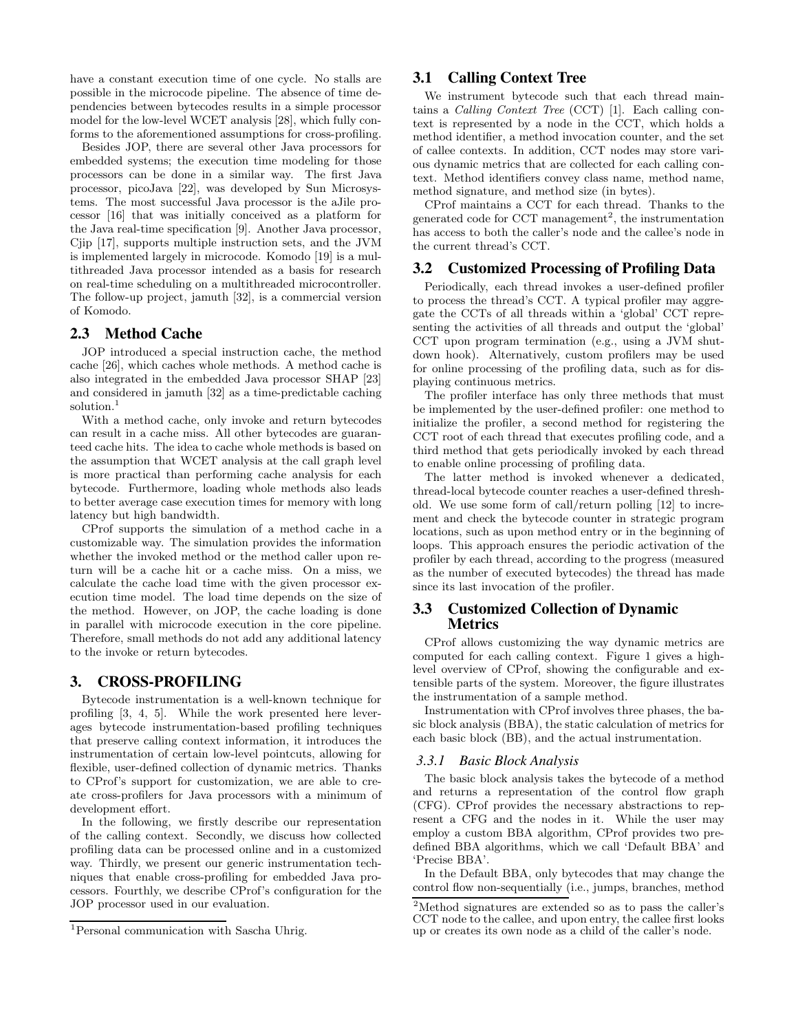have a constant execution time of one cycle. No stalls are possible in the microcode pipeline. The absence of time dependencies between bytecodes results in a simple processor model for the low-level WCET analysis [28], which fully conforms to the aforementioned assumptions for cross-profiling.

Besides JOP, there are several other Java processors for embedded systems; the execution time modeling for those processors can be done in a similar way. The first Java processor, picoJava [22], was developed by Sun Microsystems. The most successful Java processor is the aJile processor [16] that was initially conceived as a platform for the Java real-time specification [9]. Another Java processor, Cjip [17], supports multiple instruction sets, and the JVM is implemented largely in microcode. Komodo [19] is a multithreaded Java processor intended as a basis for research on real-time scheduling on a multithreaded microcontroller. The follow-up project, jamuth [32], is a commercial version of Komodo.

# 2.3 Method Cache

JOP introduced a special instruction cache, the method cache [26], which caches whole methods. A method cache is also integrated in the embedded Java processor SHAP [23] and considered in jamuth [32] as a time-predictable caching solution.<sup>1</sup>

With a method cache, only invoke and return bytecodes can result in a cache miss. All other bytecodes are guaranteed cache hits. The idea to cache whole methods is based on the assumption that WCET analysis at the call graph level is more practical than performing cache analysis for each bytecode. Furthermore, loading whole methods also leads to better average case execution times for memory with long latency but high bandwidth.

CProf supports the simulation of a method cache in a customizable way. The simulation provides the information whether the invoked method or the method caller upon return will be a cache hit or a cache miss. On a miss, we calculate the cache load time with the given processor execution time model. The load time depends on the size of the method. However, on JOP, the cache loading is done in parallel with microcode execution in the core pipeline. Therefore, small methods do not add any additional latency to the invoke or return bytecodes.

# 3. CROSS-PROFILING

Bytecode instrumentation is a well-known technique for profiling [3, 4, 5]. While the work presented here leverages bytecode instrumentation-based profiling techniques that preserve calling context information, it introduces the instrumentation of certain low-level pointcuts, allowing for flexible, user-defined collection of dynamic metrics. Thanks to CProf's support for customization, we are able to create cross-profilers for Java processors with a minimum of development effort.

In the following, we firstly describe our representation of the calling context. Secondly, we discuss how collected profiling data can be processed online and in a customized way. Thirdly, we present our generic instrumentation techniques that enable cross-profiling for embedded Java processors. Fourthly, we describe CProf's configuration for the JOP processor used in our evaluation.

# 3.1 Calling Context Tree

We instrument bytecode such that each thread maintains a *Calling Context Tree* (CCT) [1]. Each calling context is represented by a node in the CCT, which holds a method identifier, a method invocation counter, and the set of callee contexts. In addition, CCT nodes may store various dynamic metrics that are collected for each calling context. Method identifiers convey class name, method name, method signature, and method size (in bytes).

CProf maintains a CCT for each thread. Thanks to the generated code for CCT management<sup>2</sup>, the instrumentation has access to both the caller's node and the callee's node in the current thread's CCT.

# 3.2 Customized Processing of Profiling Data

Periodically, each thread invokes a user-defined profiler to process the thread's CCT. A typical profiler may aggregate the CCTs of all threads within a 'global' CCT representing the activities of all threads and output the 'global' CCT upon program termination (e.g., using a JVM shutdown hook). Alternatively, custom profilers may be used for online processing of the profiling data, such as for displaying continuous metrics.

The profiler interface has only three methods that must be implemented by the user-defined profiler: one method to initialize the profiler, a second method for registering the CCT root of each thread that executes profiling code, and a third method that gets periodically invoked by each thread to enable online processing of profiling data.

The latter method is invoked whenever a dedicated, thread-local bytecode counter reaches a user-defined threshold. We use some form of call/return polling [12] to increment and check the bytecode counter in strategic program locations, such as upon method entry or in the beginning of loops. This approach ensures the periodic activation of the profiler by each thread, according to the progress (measured as the number of executed bytecodes) the thread has made since its last invocation of the profiler.

# 3.3 Customized Collection of Dynamic Metrics

CProf allows customizing the way dynamic metrics are computed for each calling context. Figure 1 gives a highlevel overview of CProf, showing the configurable and extensible parts of the system. Moreover, the figure illustrates the instrumentation of a sample method.

Instrumentation with CProf involves three phases, the basic block analysis (BBA), the static calculation of metrics for each basic block (BB), and the actual instrumentation.

#### *3.3.1 Basic Block Analysis*

The basic block analysis takes the bytecode of a method and returns a representation of the control flow graph (CFG). CProf provides the necessary abstractions to represent a CFG and the nodes in it. While the user may employ a custom BBA algorithm, CProf provides two predefined BBA algorithms, which we call 'Default BBA' and 'Precise BBA'.

In the Default BBA, only bytecodes that may change the control flow non-sequentially (i.e., jumps, branches, method

 $^1\!$  Personal communication with Sascha Uhrig.

 $^{2}\rm{Method}$  signatures are extended so as to pass the caller's CCT node to the callee, and upon entry, the callee first looks up or creates its own node as a child of the caller's node.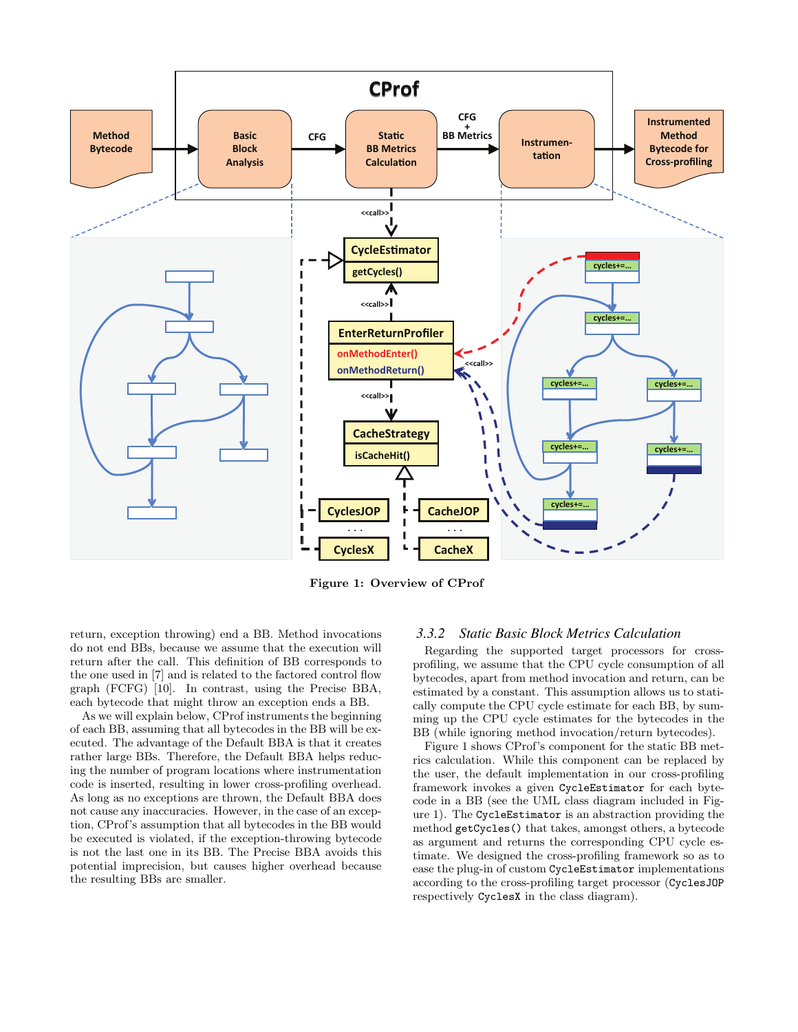

**Figure 1: Overview of CProf**

return, exception throwing) end a BB. Method invocations do not end BBs, because we assume that the execution will return after the call. This definition of BB corresponds to the one used in [7] and is related to the factored control flow graph (FCFG) [10]. In contrast, using the Precise BBA, each bytecode that might throw an exception ends a BB.

As we will explain below, CProf instruments the beginning of each BB, assuming that all bytecodes in the BB will be executed. The advantage of the Default BBA is that it creates rather large BBs. Therefore, the Default BBA helps reducing the number of program locations where instrumentation code is inserted, resulting in lower cross-profiling overhead. As long as no exceptions are thrown, the Default BBA does not cause any inaccuracies. However, in the case of an exception, CProf's assumption that all bytecodes in the BB would be executed is violated, if the exception-throwing bytecode is not the last one in its BB. The Precise BBA avoids this potential imprecision, but causes higher overhead because the resulting BBs are smaller.

#### *3.3.2 Static Basic Block Metrics Calculation*

Regarding the supported target processors for crossprofiling, we assume that the CPU cycle consumption of all bytecodes, apart from method invocation and return, can be estimated by a constant. This assumption allows us to statically compute the CPU cycle estimate for each BB, by summing up the CPU cycle estimates for the bytecodes in the BB (while ignoring method invocation/return bytecodes).

Figure 1 shows CProf's component for the static BB metrics calculation. While this component can be replaced by the user, the default implementation in our cross-profiling framework invokes a given CycleEstimator for each bytecode in a BB (see the UML class diagram included in Figure 1). The CycleEstimator is an abstraction providing the method getCycles() that takes, amongst others, a bytecode as argument and returns the corresponding CPU cycle estimate. We designed the cross-profiling framework so as to ease the plug-in of custom CycleEstimator implementations according to the cross-profiling target processor (CyclesJOP respectively CyclesX in the class diagram).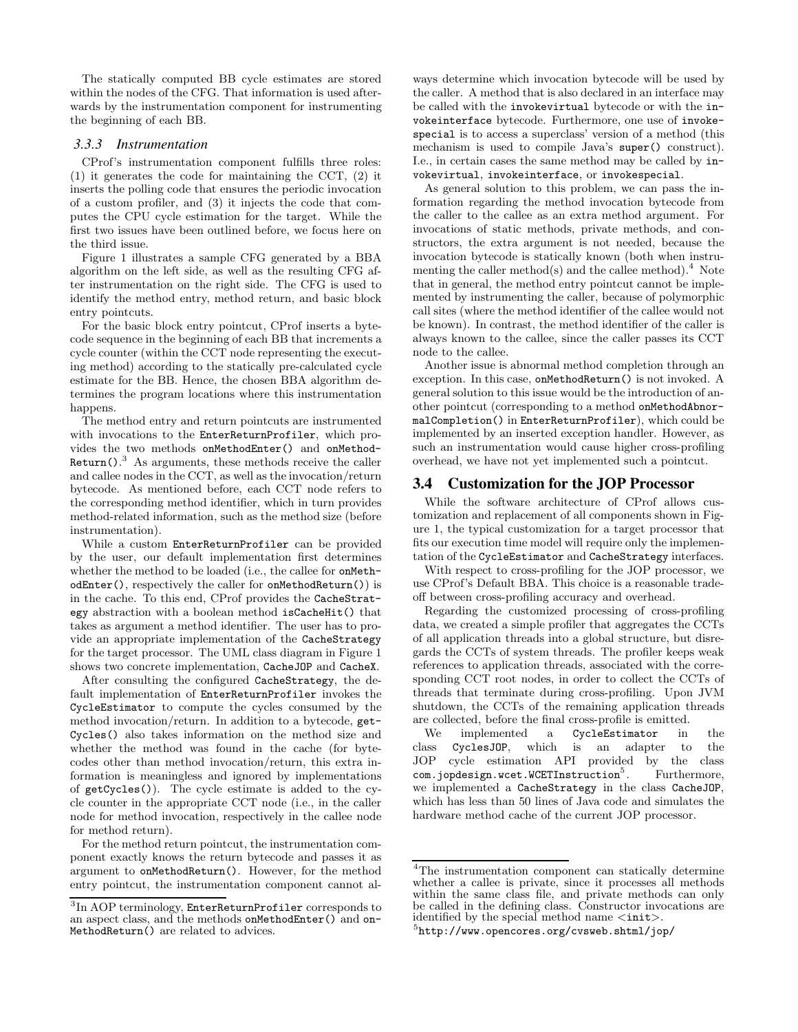The statically computed BB cycle estimates are stored within the nodes of the CFG. That information is used afterwards by the instrumentation component for instrumenting the beginning of each BB.

#### *3.3.3 Instrumentation*

CProf's instrumentation component fulfills three roles: (1) it generates the code for maintaining the CCT, (2) it inserts the polling code that ensures the periodic invocation of a custom profiler, and (3) it injects the code that computes the CPU cycle estimation for the target. While the first two issues have been outlined before, we focus here on the third issue.

Figure 1 illustrates a sample CFG generated by a BBA algorithm on the left side, as well as the resulting CFG after instrumentation on the right side. The CFG is used to identify the method entry, method return, and basic block entry pointcuts.

For the basic block entry pointcut, CProf inserts a bytecode sequence in the beginning of each BB that increments a cycle counter (within the CCT node representing the executing method) according to the statically pre-calculated cycle estimate for the BB. Hence, the chosen BBA algorithm determines the program locations where this instrumentation happens.

The method entry and return pointcuts are instrumented with invocations to the EnterReturnProfiler, which provides the two methods onMethodEnter() and onMethod-Return( $\lambda$ ).<sup>3</sup> As arguments, these methods receive the caller and callee nodes in the CCT, as well as the invocation/return bytecode. As mentioned before, each CCT node refers to the corresponding method identifier, which in turn provides method-related information, such as the method size (before instrumentation).

While a custom EnterReturnProfiler can be provided by the user, our default implementation first determines whether the method to be loaded (i.e., the callee for onMethodEnter(), respectively the caller for onMethodReturn()) is in the cache. To this end, CProf provides the CacheStrategy abstraction with a boolean method isCacheHit() that takes as argument a method identifier. The user has to provide an appropriate implementation of the CacheStrategy for the target processor. The UML class diagram in Figure 1 shows two concrete implementation, CacheJOP and CacheX.

After consulting the configured CacheStrategy, the default implementation of EnterReturnProfiler invokes the CycleEstimator to compute the cycles consumed by the method invocation/return. In addition to a bytecode, get-Cycles() also takes information on the method size and whether the method was found in the cache (for bytecodes other than method invocation/return, this extra information is meaningless and ignored by implementations of getCycles()). The cycle estimate is added to the cycle counter in the appropriate CCT node (i.e., in the caller node for method invocation, respectively in the callee node for method return).

For the method return pointcut, the instrumentation component exactly knows the return bytecode and passes it as argument to onMethodReturn(). However, for the method entry pointcut, the instrumentation component cannot always determine which invocation bytecode will be used by the caller. A method that is also declared in an interface may be called with the invokevirtual bytecode or with the invokeinterface bytecode. Furthermore, one use of invokespecial is to access a superclass' version of a method (this mechanism is used to compile Java's super() construct). I.e., in certain cases the same method may be called by invokevirtual, invokeinterface, or invokespecial.

As general solution to this problem, we can pass the information regarding the method invocation bytecode from the caller to the callee as an extra method argument. For invocations of static methods, private methods, and constructors, the extra argument is not needed, because the invocation bytecode is statically known (both when instrumenting the caller method(s) and the callee method).<sup>4</sup> Note that in general, the method entry pointcut cannot be implemented by instrumenting the caller, because of polymorphic call sites (where the method identifier of the callee would not be known). In contrast, the method identifier of the caller is always known to the callee, since the caller passes its CCT node to the callee.

Another issue is abnormal method completion through an exception. In this case, onMethodReturn() is not invoked. A general solution to this issue would be the introduction of another pointcut (corresponding to a method onMethodAbnormalCompletion() in EnterReturnProfiler), which could be implemented by an inserted exception handler. However, as such an instrumentation would cause higher cross-profiling overhead, we have not yet implemented such a pointcut.

# 3.4 Customization for the JOP Processor

While the software architecture of CProf allows customization and replacement of all components shown in Figure 1, the typical customization for a target processor that fits our execution time model will require only the implementation of the CycleEstimator and CacheStrategy interfaces.

With respect to cross-profiling for the JOP processor, we use CProf's Default BBA. This choice is a reasonable tradeoff between cross-profiling accuracy and overhead.

Regarding the customized processing of cross-profiling data, we created a simple profiler that aggregates the CCTs of all application threads into a global structure, but disregards the CCTs of system threads. The profiler keeps weak references to application threads, associated with the corresponding CCT root nodes, in order to collect the CCTs of threads that terminate during cross-profiling. Upon JVM shutdown, the CCTs of the remaining application threads are collected, before the final cross-profile is emitted.

We implemented a CycleEstimator in the class CyclesJOP, which is an adapter to the JOP cycle estimation API provided by the class  $com.$ jopdesign.wcet.WCETInstruction $5.$  Furthermore, we implemented a CacheStrategy in the class CacheJOP, which has less than 50 lines of Java code and simulates the hardware method cache of the current JOP processor.

<sup>3</sup>In AOP terminology, EnterReturnProfiler corresponds to an aspect class, and the methods onMethodEnter() and on-MethodReturn() are related to advices.

<sup>4</sup>The instrumentation component can statically determine whether a callee is private, since it processes all methods within the same class file, and private methods can only be called in the defining class. Constructor invocations are identified by the special method name  $\langle \texttt{init} \rangle$ .

 $b^5$ http://www.opencores.org/cvsweb.shtml/jop/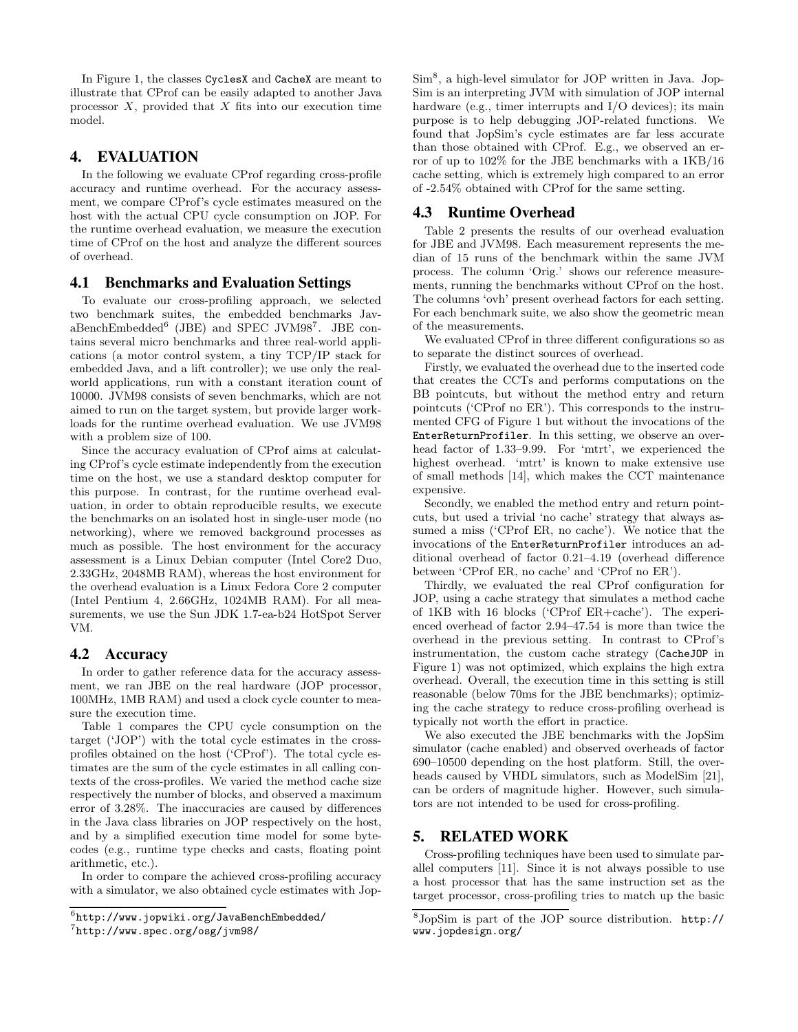In Figure 1, the classes CyclesX and CacheX are meant to illustrate that CProf can be easily adapted to another Java processor *X*, provided that *X* fits into our execution time model.

# 4. EVALUATION

In the following we evaluate CProf regarding cross-profile accuracy and runtime overhead. For the accuracy assessment, we compare CProf's cycle estimates measured on the host with the actual CPU cycle consumption on JOP. For the runtime overhead evaluation, we measure the execution time of CProf on the host and analyze the different sources of overhead.

# 4.1 Benchmarks and Evaluation Settings

To evaluate our cross-profiling approach, we selected two benchmark suites, the embedded benchmarks JavaBenchEmbedded<sup>6</sup> (JBE) and SPEC JVM98<sup>7</sup>. JBE contains several micro benchmarks and three real-world applications (a motor control system, a tiny TCP/IP stack for embedded Java, and a lift controller); we use only the realworld applications, run with a constant iteration count of 10000. JVM98 consists of seven benchmarks, which are not aimed to run on the target system, but provide larger workloads for the runtime overhead evaluation. We use JVM98 with a problem size of 100.

Since the accuracy evaluation of CProf aims at calculating CProf's cycle estimate independently from the execution time on the host, we use a standard desktop computer for this purpose. In contrast, for the runtime overhead evaluation, in order to obtain reproducible results, we execute the benchmarks on an isolated host in single-user mode (no networking), where we removed background processes as much as possible. The host environment for the accuracy assessment is a Linux Debian computer (Intel Core2 Duo, 2.33GHz, 2048MB RAM), whereas the host environment for the overhead evaluation is a Linux Fedora Core 2 computer (Intel Pentium 4, 2.66GHz, 1024MB RAM). For all measurements, we use the Sun JDK 1.7-ea-b24 HotSpot Server VM.

# 4.2 Accuracy

In order to gather reference data for the accuracy assessment, we ran JBE on the real hardware (JOP processor, 100MHz, 1MB RAM) and used a clock cycle counter to measure the execution time.

Table 1 compares the CPU cycle consumption on the target ('JOP') with the total cycle estimates in the crossprofiles obtained on the host ('CProf'). The total cycle estimates are the sum of the cycle estimates in all calling contexts of the cross-profiles. We varied the method cache size respectively the number of blocks, and observed a maximum error of 3.28%. The inaccuracies are caused by differences in the Java class libraries on JOP respectively on the host, and by a simplified execution time model for some bytecodes (e.g., runtime type checks and casts, floating point arithmetic, etc.).

In order to compare the achieved cross-profiling accuracy with a simulator, we also obtained cycle estimates with JopSim<sup>8</sup>, a high-level simulator for JOP written in Java. Jop-Sim is an interpreting JVM with simulation of JOP internal hardware (e.g., timer interrupts and I/O devices); its main purpose is to help debugging JOP-related functions. We found that JopSim's cycle estimates are far less accurate than those obtained with CProf. E.g., we observed an error of up to 102% for the JBE benchmarks with a 1KB/16 cache setting, which is extremely high compared to an error of -2.54% obtained with CProf for the same setting.

# 4.3 Runtime Overhead

Table 2 presents the results of our overhead evaluation for JBE and JVM98. Each measurement represents the median of 15 runs of the benchmark within the same JVM process. The column 'Orig.' shows our reference measurements, running the benchmarks without CProf on the host. The columns 'ovh' present overhead factors for each setting. For each benchmark suite, we also show the geometric mean of the measurements.

We evaluated CProf in three different configurations so as to separate the distinct sources of overhead.

Firstly, we evaluated the overhead due to the inserted code that creates the CCTs and performs computations on the BB pointcuts, but without the method entry and return pointcuts ('CProf no ER'). This corresponds to the instrumented CFG of Figure 1 but without the invocations of the EnterReturnProfiler. In this setting, we observe an overhead factor of 1.33–9.99. For 'mtrt', we experienced the highest overhead. 'mtrt' is known to make extensive use of small methods [14], which makes the CCT maintenance expensive.

Secondly, we enabled the method entry and return pointcuts, but used a trivial 'no cache' strategy that always assumed a miss ('CProf ER, no cache'). We notice that the invocations of the EnterReturnProfiler introduces an additional overhead of factor 0.21–4.19 (overhead difference between 'CProf ER, no cache' and 'CProf no ER').

Thirdly, we evaluated the real CProf configuration for JOP, using a cache strategy that simulates a method cache of 1KB with 16 blocks ('CProf ER+cache'). The experienced overhead of factor 2.94–47.54 is more than twice the overhead in the previous setting. In contrast to CProf's instrumentation, the custom cache strategy (CacheJOP in Figure 1) was not optimized, which explains the high extra overhead. Overall, the execution time in this setting is still reasonable (below 70ms for the JBE benchmarks); optimizing the cache strategy to reduce cross-profiling overhead is typically not worth the effort in practice.

We also executed the JBE benchmarks with the JopSim simulator (cache enabled) and observed overheads of factor 690–10500 depending on the host platform. Still, the overheads caused by VHDL simulators, such as ModelSim [21], can be orders of magnitude higher. However, such simulators are not intended to be used for cross-profiling.

# 5. RELATED WORK

Cross-profiling techniques have been used to simulate parallel computers [11]. Since it is not always possible to use a host processor that has the same instruction set as the target processor, cross-profiling tries to match up the basic

 $6$ http://www.jopwiki.org/JavaBenchEmbedded/

 $^{7}$ http://www.spec.org/osg/jvm $98/$ 

<sup>8</sup>JopSim is part of the JOP source distribution. http:// www.jopdesign.org/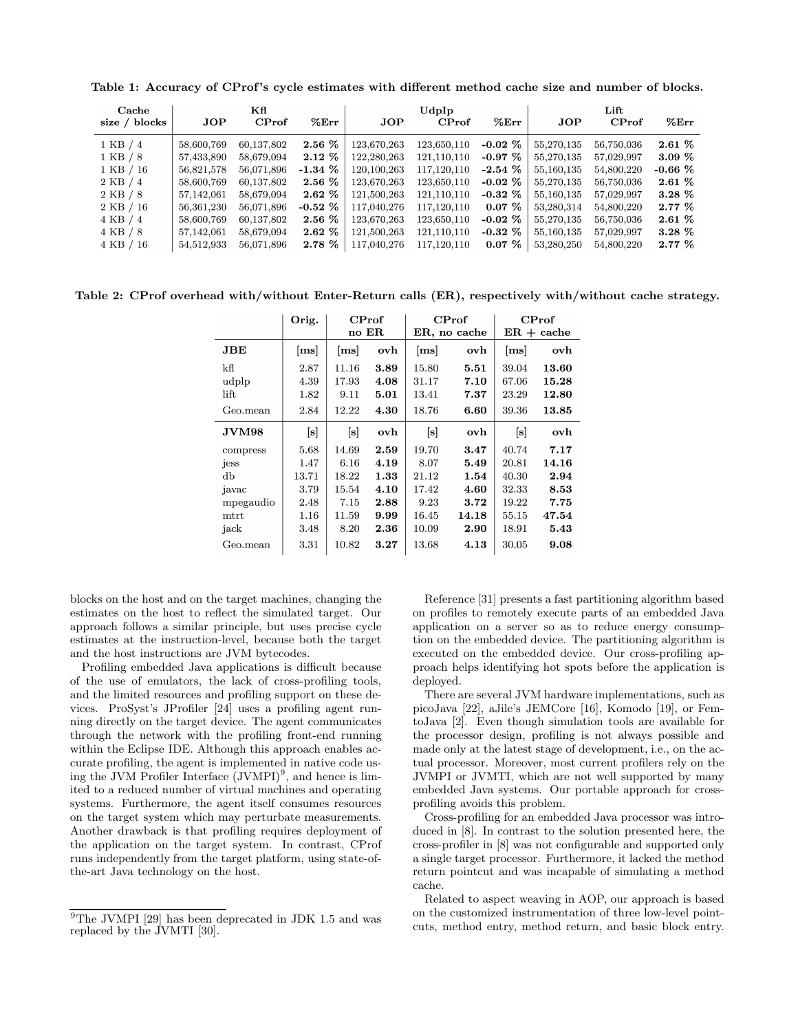| Cache         |            | Κfl        |               |             | UdpIp       |                |            | Lift       |            |
|---------------|------------|------------|---------------|-------------|-------------|----------------|------------|------------|------------|
| size / blocks | JOP        | CProf      | %Err          | JOP         | CProf       | %Err           | <b>JOP</b> | CProf      | $\%Err$    |
| $1$ KB $/$ 4  | 58,600,769 | 60,137,802 | $2.56\%$      | 123.670.263 | 123,650,110 | $-0.02\%$      | 55,270,135 | 56,750,036 | 2.61%      |
| $1$ KB $/$ 8  | 57,433,890 | 58,679,094 | $2.12\,$ $\%$ | 122,280,263 | 121.110.110 | -0.97 $\%$     | 55,270,135 | 57,029,997 | 3.09%      |
| $1$ KB $/$ 16 | 56,821,578 | 56,071,896 | -1.34 $\%$    | 120,100,263 | 117,120,110 | $-2.54\%$      | 55,160,135 | 54,800,220 | $-0.66~\%$ |
| $2$ KB $/4$   | 58,600,769 | 60,137,802 | $2.56\,$ $\%$ | 123.670.263 | 123.650.110 | -0.02 $\%$     | 55,270,135 | 56,750,036 | $2.61\%$   |
| $2$ KB $/$ 8  | 57,142,061 | 58,679,094 | $2.62\%$      | 121,500,263 | 121,110,110 | $-0.32\%$      | 55,160,135 | 57,029,997 | $3.28\%$   |
| 2 KB / 16     | 56,361,230 | 56,071,896 | -0.52 $\%$    | 117.040.276 | 117.120.110 | $0.07 \%$      | 53,280,314 | 54,800,220 | $2.77\%$   |
| $4$ KB $/4$   | 58,600,769 | 60,137,802 | $2.56\%$      | 123,670,263 | 123,650,110 | -0.02 $\%$     | 55,270,135 | 56,750,036 | 2.61%      |
| $4$ KB $/$ 8  | 57,142,061 | 58,679,094 | $2.62\%$      | 121.500.263 | 121,110,110 | $-0.32\,$ $\%$ | 55,160,135 | 57,029,997 | $3.28\%$   |
| 4 KB / 16     | 54,512,933 | 56,071,896 | $2.78\%$      | 117,040,276 | 117.120.110 | $0.07 \%$      | 53.280.250 | 54,800,220 | 2.77%      |

**Table 1: Accuracy of CProf 's cycle estimates with different method cache size and number of blocks.**

**Table 2: CProf overhead with/without Enter-Return calls (ER), respectively with/without cache strategy.**

|                                                              | Orig.                                                 | CPref<br>no ER                                           |                                                      | CProf<br>ER, no cache                                     |                                                       | CProf<br>$ER + cache$                                       |                                                        |
|--------------------------------------------------------------|-------------------------------------------------------|----------------------------------------------------------|------------------------------------------------------|-----------------------------------------------------------|-------------------------------------------------------|-------------------------------------------------------------|--------------------------------------------------------|
| JBE                                                          | [ms]                                                  | [ms]                                                     | ovh                                                  | [ms]                                                      | ovh                                                   | [ms]                                                        | ovh                                                    |
| kfl<br>udplp<br>lift<br>Geo.mean                             | 2.87<br>4.39<br>1.82<br>2.84                          | 11.16<br>17.93<br>9.11<br>12.22                          | 3.89<br>4.08<br>5.01<br>4.30                         | 15.80<br>31.17<br>13.41<br>18.76                          | 5.51<br>7.10<br>7.37<br>6.60                          | 39.04<br>67.06<br>23.29<br>39.36                            | 13.60<br>15.28<br>12.80<br>13.85                       |
| <b>JVM98</b>                                                 | [s]                                                   | [s]                                                      | ovh                                                  | [s]                                                       | ovh                                                   | [s]                                                         | ovh                                                    |
| compress<br>jess<br>db<br>javac<br>mpegaudio<br>mtrt<br>jack | 5.68<br>1.47<br>13.71<br>3.79<br>2.48<br>1.16<br>3.48 | 14.69<br>6.16<br>18.22<br>15.54<br>7.15<br>11.59<br>8.20 | 2.59<br>4.19<br>1.33<br>4.10<br>2.88<br>9.99<br>2.36 | 19.70<br>8.07<br>21.12<br>17.42<br>9.23<br>16.45<br>10.09 | 3.47<br>5.49<br>1.54<br>4.60<br>3.72<br>14.18<br>2.90 | 40.74<br>20.81<br>40.30<br>32.33<br>19.22<br>55.15<br>18.91 | 7.17<br>14.16<br>2.94<br>8.53<br>7.75<br>47.54<br>5.43 |
| Geo.mean                                                     | 3.31                                                  | 10.82                                                    | 3.27                                                 | 13.68                                                     | 4.13                                                  | 30.05                                                       | 9.08                                                   |

blocks on the host and on the target machines, changing the estimates on the host to reflect the simulated target. Our approach follows a similar principle, but uses precise cycle estimates at the instruction-level, because both the target and the host instructions are JVM bytecodes.

Profiling embedded Java applications is difficult because of the use of emulators, the lack of cross-profiling tools, and the limited resources and profiling support on these devices. ProSyst's JProfiler [24] uses a profiling agent running directly on the target device. The agent communicates through the network with the profiling front-end running within the Eclipse IDE. Although this approach enables accurate profiling, the agent is implemented in native code using the JVM Profiler Interface  $(JVMPI)^9$ , and hence is limited to a reduced number of virtual machines and operating systems. Furthermore, the agent itself consumes resources on the target system which may perturbate measurements. Another drawback is that profiling requires deployment of the application on the target system. In contrast, CProf runs independently from the target platform, using state-ofthe-art Java technology on the host.

Reference [31] presents a fast partitioning algorithm based on profiles to remotely execute parts of an embedded Java application on a server so as to reduce energy consumption on the embedded device. The partitioning algorithm is executed on the embedded device. Our cross-profiling approach helps identifying hot spots before the application is deployed.

There are several JVM hardware implementations, such as picoJava [22], aJile's JEMCore [16], Komodo [19], or FemtoJava [2]. Even though simulation tools are available for the processor design, profiling is not always possible and made only at the latest stage of development, i.e., on the actual processor. Moreover, most current profilers rely on the JVMPI or JVMTI, which are not well supported by many embedded Java systems. Our portable approach for crossprofiling avoids this problem.

Cross-profiling for an embedded Java processor was introduced in [8]. In contrast to the solution presented here, the cross-profiler in [8] was not configurable and supported only a single target processor. Furthermore, it lacked the method return pointcut and was incapable of simulating a method cache.

Related to aspect weaving in AOP, our approach is based on the customized instrumentation of three low-level pointcuts, method entry, method return, and basic block entry.

 $^{9}{\rm The}$  JVMPI [29] has been deprecated in JDK 1.5 and was replaced by the JVMTI [30].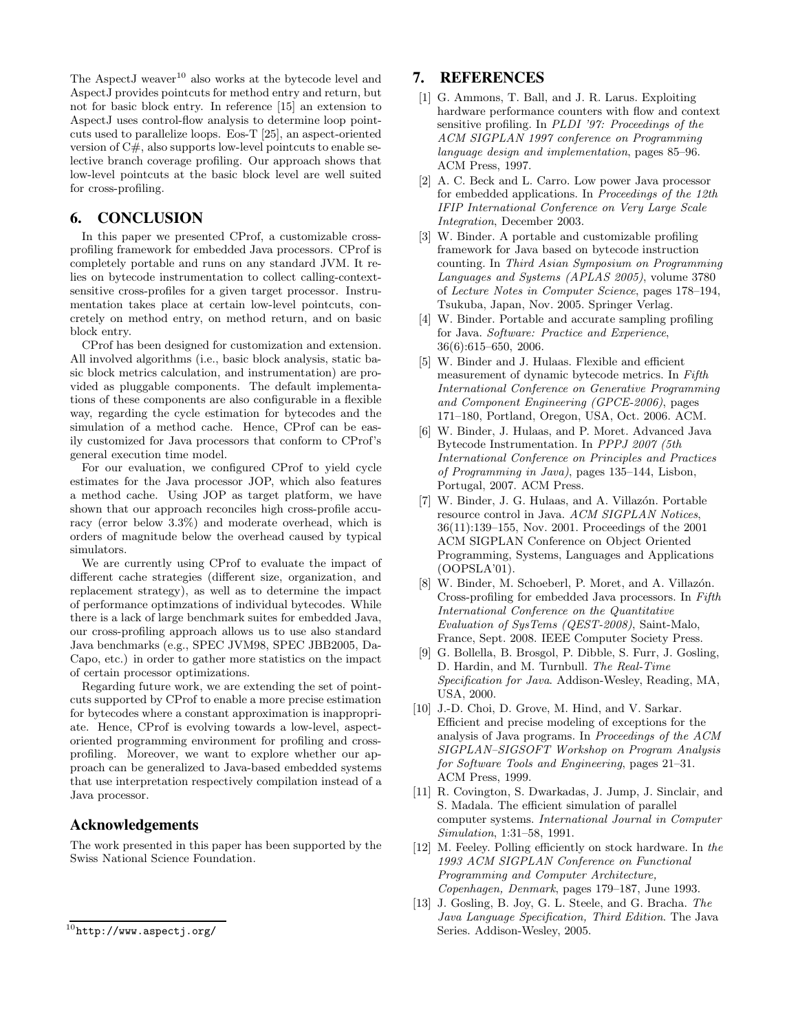The AspectJ weaver<sup>10</sup> also works at the bytecode level and AspectJ provides pointcuts for method entry and return, but not for basic block entry. In reference [15] an extension to AspectJ uses control-flow analysis to determine loop pointcuts used to parallelize loops. Eos-T [25], an aspect-oriented version of C#, also supports low-level pointcuts to enable selective branch coverage profiling. Our approach shows that low-level pointcuts at the basic block level are well suited for cross-profiling.

# 6. CONCLUSION

In this paper we presented CProf, a customizable crossprofiling framework for embedded Java processors. CProf is completely portable and runs on any standard JVM. It relies on bytecode instrumentation to collect calling-contextsensitive cross-profiles for a given target processor. Instrumentation takes place at certain low-level pointcuts, concretely on method entry, on method return, and on basic block entry.

CProf has been designed for customization and extension. All involved algorithms (i.e., basic block analysis, static basic block metrics calculation, and instrumentation) are provided as pluggable components. The default implementations of these components are also configurable in a flexible way, regarding the cycle estimation for bytecodes and the simulation of a method cache. Hence, CProf can be easily customized for Java processors that conform to CProf's general execution time model.

For our evaluation, we configured CProf to yield cycle estimates for the Java processor JOP, which also features a method cache. Using JOP as target platform, we have shown that our approach reconciles high cross-profile accuracy (error below 3.3%) and moderate overhead, which is orders of magnitude below the overhead caused by typical simulators.

We are currently using CProf to evaluate the impact of different cache strategies (different size, organization, and replacement strategy), as well as to determine the impact of performance optimzations of individual bytecodes. While there is a lack of large benchmark suites for embedded Java, our cross-profiling approach allows us to use also standard Java benchmarks (e.g., SPEC JVM98, SPEC JBB2005, Da-Capo, etc.) in order to gather more statistics on the impact of certain processor optimizations.

Regarding future work, we are extending the set of pointcuts supported by CProf to enable a more precise estimation for bytecodes where a constant approximation is inappropriate. Hence, CProf is evolving towards a low-level, aspectoriented programming environment for profiling and crossprofiling. Moreover, we want to explore whether our approach can be generalized to Java-based embedded systems that use interpretation respectively compilation instead of a Java processor.

# Acknowledgements

The work presented in this paper has been supported by the Swiss National Science Foundation.

 $^{10}$ http://www.aspectj.org/

# 7. REFERENCES

- [1] G. Ammons, T. Ball, and J. R. Larus. Exploiting hardware performance counters with flow and context sensitive profiling. In *PLDI '97: Proceedings of the ACM SIGPLAN 1997 conference on Programming language design and implementation*, pages 85–96. ACM Press, 1997.
- [2] A. C. Beck and L. Carro. Low power Java processor for embedded applications. In *Proceedings of the 12th IFIP International Conference on Very Large Scale Integration*, December 2003.
- [3] W. Binder. A portable and customizable profiling framework for Java based on bytecode instruction counting. In *Third Asian Symposium on Programming Languages and Systems (APLAS 2005)*, volume 3780 of *Lecture Notes in Computer Science*, pages 178–194, Tsukuba, Japan, Nov. 2005. Springer Verlag.
- [4] W. Binder. Portable and accurate sampling profiling for Java. *Software: Practice and Experience*, 36(6):615–650, 2006.
- [5] W. Binder and J. Hulaas. Flexible and efficient measurement of dynamic bytecode metrics. In *Fifth International Conference on Generative Programming and Component Engineering (GPCE-2006)*, pages 171–180, Portland, Oregon, USA, Oct. 2006. ACM.
- [6] W. Binder, J. Hulaas, and P. Moret. Advanced Java Bytecode Instrumentation. In *PPPJ 2007 (5th International Conference on Principles and Practices of Programming in Java)*, pages 135–144, Lisbon, Portugal, 2007. ACM Press.
- [7] W. Binder, J. G. Hulaas, and A. Villazón. Portable resource control in Java. *ACM SIGPLAN Notices*, 36(11):139–155, Nov. 2001. Proceedings of the 2001 ACM SIGPLAN Conference on Object Oriented Programming, Systems, Languages and Applications (OOPSLA'01).
- [8] W. Binder, M. Schoeberl, P. Moret, and A. Villazón. Cross-profiling for embedded Java processors. In *Fifth International Conference on the Quantitative Evaluation of SysTems (QEST-2008)*, Saint-Malo, France, Sept. 2008. IEEE Computer Society Press.
- [9] G. Bollella, B. Brosgol, P. Dibble, S. Furr, J. Gosling, D. Hardin, and M. Turnbull. *The Real-Time Specification for Java*. Addison-Wesley, Reading, MA, USA, 2000.
- [10] J.-D. Choi, D. Grove, M. Hind, and V. Sarkar. Efficient and precise modeling of exceptions for the analysis of Java programs. In *Proceedings of the ACM SIGPLAN–SIGSOFT Workshop on Program Analysis for Software Tools and Engineering*, pages 21–31. ACM Press, 1999.
- [11] R. Covington, S. Dwarkadas, J. Jump, J. Sinclair, and S. Madala. The efficient simulation of parallel computer systems. *International Journal in Computer Simulation*, 1:31–58, 1991.
- [12] M. Feeley. Polling efficiently on stock hardware. In *the 1993 ACM SIGPLAN Conference on Functional Programming and Computer Architecture, Copenhagen, Denmark*, pages 179–187, June 1993.
- [13] J. Gosling, B. Joy, G. L. Steele, and G. Bracha. *The Java Language Specification, Third Edition*. The Java Series. Addison-Wesley, 2005.